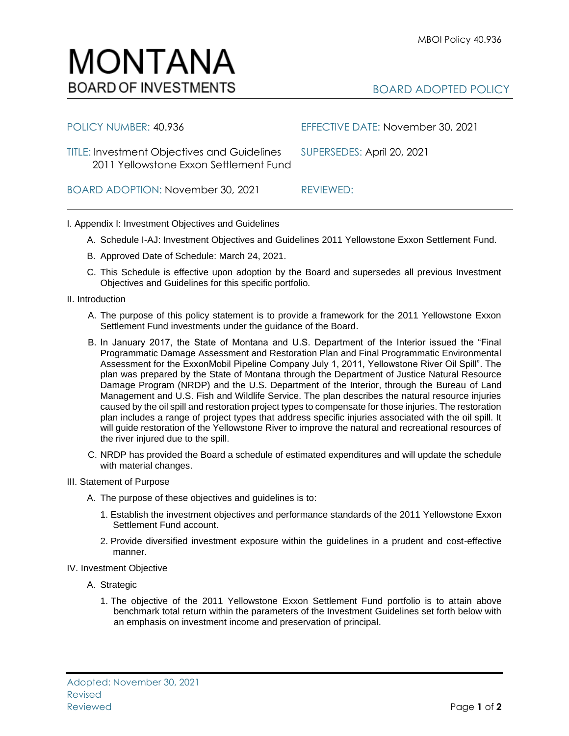## BOARD ADOPTED POLICY

| POLICY NUMBER: 40.936                                                                        | EFFECTIVE DATE: November 30, 2021 |
|----------------------------------------------------------------------------------------------|-----------------------------------|
| <b>TITLE: Investment Objectives and Guidelines</b><br>2011 Yellowstone Exxon Settlement Fund | SUPERSEDES: April 20, 2021        |
| BOARD ADOPTION: November 30, 2021                                                            | REVIEWED:                         |

## I. Appendix I: Investment Objectives and Guidelines

MONTANA

**BOARD OF INVESTMENTS** 

- A. Schedule I-AJ: Investment Objectives and Guidelines 2011 Yellowstone Exxon Settlement Fund.
- B. Approved Date of Schedule: March 24, 2021.
- C. This Schedule is effective upon adoption by the Board and supersedes all previous Investment Objectives and Guidelines for this specific portfolio*.*
- II. Introduction
	- A. The purpose of this policy statement is to provide a framework for the 2011 Yellowstone Exxon Settlement Fund investments under the guidance of the Board.
	- B. In January 2017, the State of Montana and U.S. Department of the Interior issued the "Final Programmatic Damage Assessment and Restoration Plan and Final Programmatic Environmental Assessment for the ExxonMobil Pipeline Company July 1, 2011, Yellowstone River Oil Spill". The plan was prepared by the State of Montana through the Department of Justice Natural Resource Damage Program (NRDP) and the U.S. Department of the Interior, through the Bureau of Land Management and U.S. Fish and Wildlife Service. The plan describes the natural resource injuries caused by the oil spill and restoration project types to compensate for those injuries. The restoration plan includes a range of project types that address specific injuries associated with the oil spill. It will guide restoration of the Yellowstone River to improve the natural and recreational resources of the river injured due to the spill.
	- C. NRDP has provided the Board a schedule of estimated expenditures and will update the schedule with material changes.
- III. Statement of Purpose
	- A. The purpose of these objectives and guidelines is to:
		- 1. Establish the investment objectives and performance standards of the 2011 Yellowstone Exxon Settlement Fund account.
		- 2. Provide diversified investment exposure within the guidelines in a prudent and cost-effective manner.
- IV. Investment Objective
	- A. Strategic
		- 1. The objective of the 2011 Yellowstone Exxon Settlement Fund portfolio is to attain above benchmark total return within the parameters of the Investment Guidelines set forth below with an emphasis on investment income and preservation of principal.